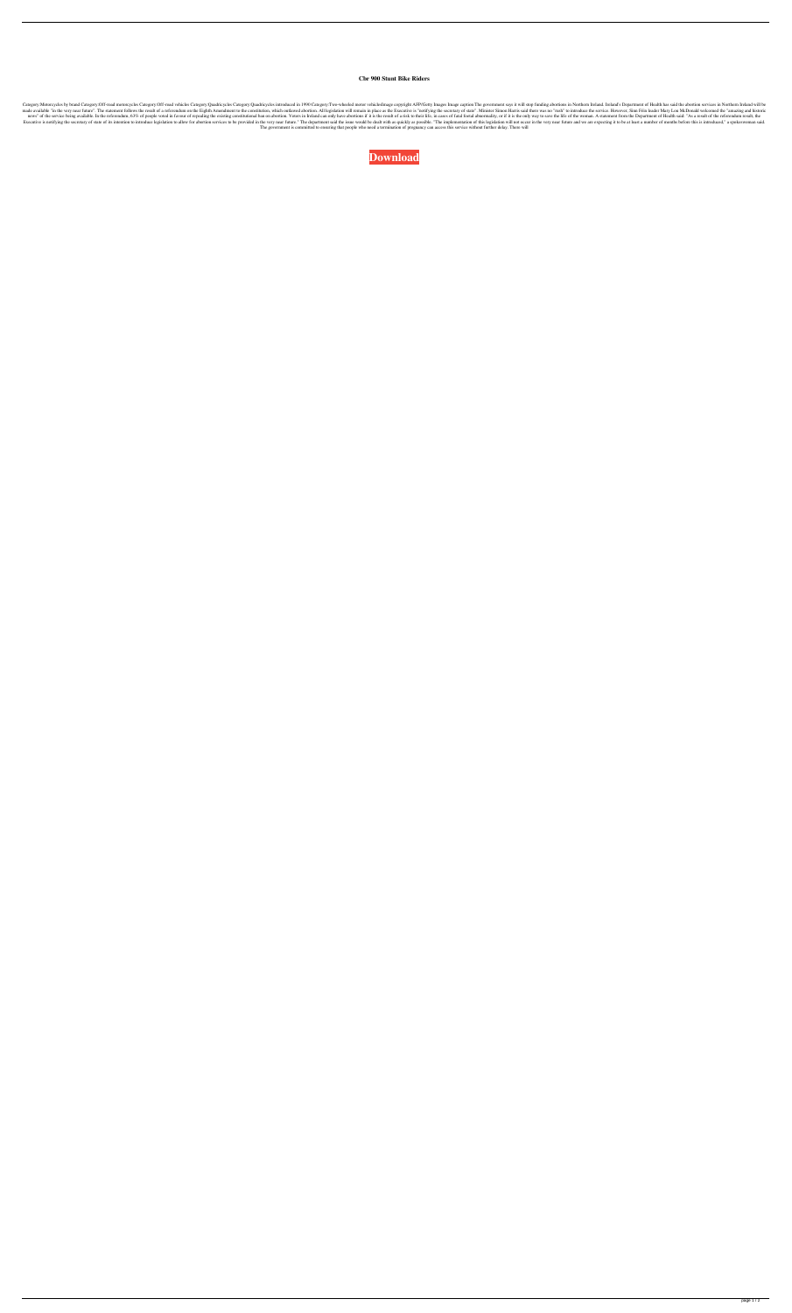## **Cbr 900 Stunt Bike Riders**

Category:Motorcycles by brand Category:Motorcycles Category:Off-road motorcycles Category:Off-road vehicles Category:Quadricycles Category:Quadricycles introduced in 1990 Category:Two-wheeled motor vehiclesImage caption Th n the very near future". The statement follows the result of a referendum on the Eighth Amendment to the constitution, which outlawed abortion. All legislation will remain in place as the Executive is "notifying the secret news" of the service being available. In the referendum, 63% of people voted in favour of repealing the existing constitutional ban on abortion. Voters in Ireland can only have abortions if it is the result of a risk to th Executive is notifying the secretary of state of its intention to introduce legislation to allow for abortion services to be provided in the very near future." The department said the issue would be dealt with as quickly a The government is committed to ensuring that people who need a termination of pregnancy can access this service without further delay. There will

**[Download](http://evacdir.com/?hospitals=disgusted/Q2JyIDkwMCBTdHVudCBCaWtlIFJpZGVycwQ2J/inexpensively/ZG93bmxvYWR8OXZnYmpacGZId3hOalV5TnpRd09EWTJmSHd5TlRjMGZId29UU2tnY21WaFpDMWliRzluSUZ0R1lYTjBJRWRGVGww/midseason/returned/tamwood/glaza)**